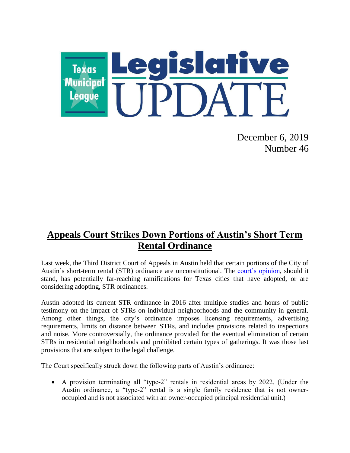

December 6, 2019 Number 46

## **Appeals Court Strikes Down Portions of Austin's Short Term Rental Ordinance**

Last week, the Third District Court of Appeals in Austin held that certain portions of the City of Austin's short-term rental (STR) ordinance are unconstitutional. The [court's opinion,](http://www.search.txcourts.gov/SearchMedia.aspx?MediaVersionID=91a160e1-78d6-4ab8-9558-a8a5b8e85141&coa=coa03&DT=Opinion&MediaID=693aee99-9d0f-4a55-a878-43e2fc22ff9c) should it stand, has potentially far-reaching ramifications for Texas cities that have adopted, or are considering adopting, STR ordinances.

Austin adopted its current STR ordinance in 2016 after multiple studies and hours of public testimony on the impact of STRs on individual neighborhoods and the community in general. Among other things, the city's ordinance imposes licensing requirements, advertising requirements, limits on distance between STRs, and includes provisions related to inspections and noise. More controversially, the ordinance provided for the eventual elimination of certain STRs in residential neighborhoods and prohibited certain types of gatherings. It was those last provisions that are subject to the legal challenge.

The Court specifically struck down the following parts of Austin's ordinance:

 A provision terminating all "type-2" rentals in residential areas by 2022. (Under the Austin ordinance, a "type-2" rental is a single family residence that is not owneroccupied and is not associated with an owner-occupied principal residential unit.)